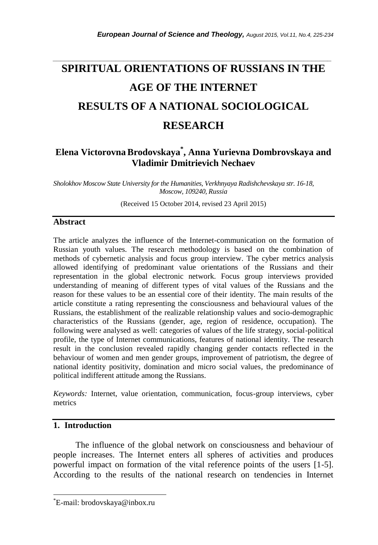# *\_\_\_\_\_\_\_\_\_\_\_\_\_\_\_\_\_\_\_\_\_\_\_\_\_\_\_\_\_\_\_\_\_\_\_\_\_\_\_\_\_\_\_\_\_\_\_\_\_\_\_\_\_\_\_\_\_\_\_\_\_\_\_\_\_\_\_\_\_\_\_* **SPIRITUAL ORIENTATIONS OF RUSSIANS IN THE AGE OF THE INTERNET RESULTS OF A NATIONAL SOCIOLOGICAL RESEARCH**

## **Elena Victorovna Brodovskaya\* , Anna Yurievna Dombrovskaya and Vladimir Dmitrievich Nechaev**

*Sholokhov Moscow State University for the Humanities, Verkhnyaya Radishchevskaya str. 16-18, Moscow, 109240, Russia*

(Received 15 October 2014, revised 23 April 2015)

#### **Abstract**

The article analyzes the influence of the Internet-communication on the formation of Russian youth values. The research methodology is based on the combination of methods of cybernetic analysis and focus group interview. The cyber metrics analysis allowed identifying of predominant value orientations of the Russians and their representation in the global electronic network. Focus group interviews provided understanding of meaning of different types of vital values of the Russians and the reason for these values to be an essential core of their identity. The main results of the article constitute a rating representing the consciousness and behavioural values of the Russians, the establishment of the realizable relationship values and socio-demographic characteristics of the Russians (gender, age, region of residence, occupation). The following were analysed as well: categories of values of the life strategy, social-political profile, the type of Internet communications, features of national identity. The research result in the conclusion revealed rapidly changing gender contacts reflected in the behaviour of women and men gender groups, improvement of patriotism, the degree of national identity positivity, domination and micro social values, the predominance of political indifferent attitude among the Russians.

*Keywords:* Internet, value orientation, communication, focus-group interviews, cyber metrics

## **1. Introduction**

l

The influence of the global network on consciousness and behaviour of people increases. The Internet enters all spheres of activities and produces powerful impact on formation of the vital reference points of the users [1-5]. According to the results of the national research on tendencies in Internet

<sup>\*</sup>E-mail: brodovskaya@inbox.ru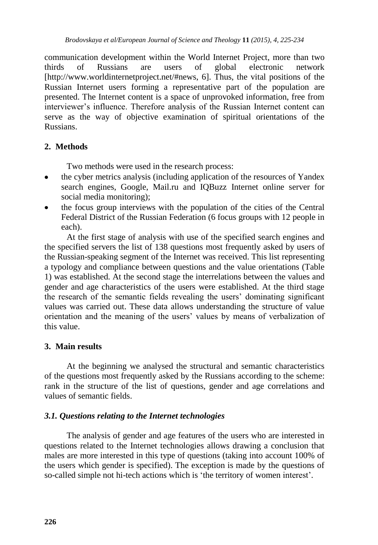communication development within the World Internet Project, more than two thirds of Russians are users of global electronic network [http://www.worldinternetproject.net/#news, 6]. Thus, the vital positions of the Russian Internet users forming a representative part of the population are presented. The Internet content is a space of unprovoked information, free from interviewer's influence. Therefore analysis of the Russian Internet content can serve as the way of objective examination of spiritual orientations of the Russians.

#### **2. Methods**

Two methods were used in the research process:

- the cyber metrics analysis (including application of the resources of Yandex search engines, Google, Mail.ru and IQBuzz Internet online server for social media monitoring);
- the focus group interviews with the population of the cities of the Central Federal District of the Russian Federation (6 focus groups with 12 people in each).

At the first stage of analysis with use of the specified search engines and the specified servers the list of 138 questions most frequently asked by users of the Russian-speaking segment of the Internet was received. This list representing a typology and compliance between questions and the value orientations (Table 1) was established. At the second stage the interrelations between the values and gender and age characteristics of the users were established. At the third stage the research of the semantic fields revealing the users' dominating significant values was carried out. These data allows understanding the structure of value orientation and the meaning of the users' values by means of verbalization of this value.

#### **3. Main results**

At the beginning we analysed the structural and semantic characteristics of the questions most frequently asked by the Russians according to the scheme: rank in the structure of the list of questions, gender and age correlations and values of semantic fields.

## *3.1. Questions relating to the Internet technologies*

The analysis of gender and age features of the users who are interested in questions related to the Internet technologies allows drawing a conclusion that males are more interested in this type of questions (taking into account 100% of the users which gender is specified). The exception is made by the questions of so-called simple not hi-tech actions which is 'the territory of women interest'.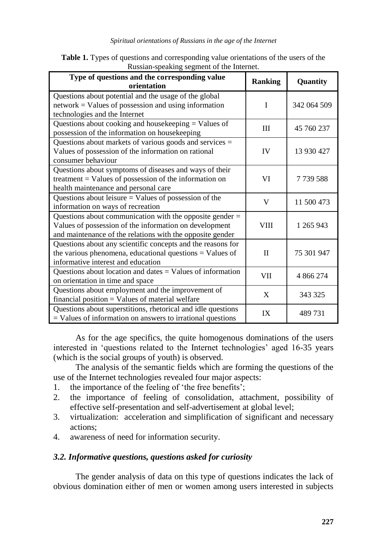#### *Spiritual orientations of Russians in the age of the Internet*

| Russian speaking segment of the internet.                                                                                                                                         |                |             |  |
|-----------------------------------------------------------------------------------------------------------------------------------------------------------------------------------|----------------|-------------|--|
| Type of questions and the corresponding value<br>orientation                                                                                                                      | <b>Ranking</b> | Quantity    |  |
| Questions about potential and the usage of the global<br>$network = Values of possession and using information$<br>technologies and the Internet                                  | I              | 342 064 509 |  |
| Questions about cooking and housekeeping = Values of<br>possession of the information on housekeeping                                                                             | III            | 45 760 237  |  |
| Questions about markets of various goods and services $=$<br>Values of possession of the information on rational<br>consumer behaviour                                            | <b>IV</b>      | 13 930 427  |  |
| Questions about symptoms of diseases and ways of their<br>treatment = Values of possession of the information on<br>health maintenance and personal care                          | VI             | 7739588     |  |
| Questions about leisure $=$ Values of possession of the<br>information on ways of recreation                                                                                      | V              | 11 500 473  |  |
| Questions about communication with the opposite gender $=$<br>Values of possession of the information on development<br>and maintenance of the relations with the opposite gender | <b>VIII</b>    | 1 265 943   |  |
| Questions about any scientific concepts and the reasons for<br>the various phenomena, educational questions $=$ Values of<br>informative interest and education                   | $\mathbf{I}$   | 75 301 947  |  |
| Questions about location and dates $=$ Values of information<br>on orientation in time and space                                                                                  | VII            | 4 866 274   |  |
| Questions about employment and the improvement of<br>$f$ inancial position = Values of material welfare                                                                           | X              | 343 325     |  |
| Questions about superstitions, rhetorical and idle questions<br>$=$ Values of information on answers to irrational questions                                                      | IX             | 489731      |  |

| <b>Table 1.</b> Types of questions and corresponding value orientations of the users of the |  |
|---------------------------------------------------------------------------------------------|--|
| Russian-speaking segment of the Internet.                                                   |  |

As for the age specifics, the quite homogenous dominations of the users interested in 'questions related to the Internet technologies' aged 16-35 years (which is the social groups of youth) is observed.

The analysis of the semantic fields which are forming the questions of the use of the Internet technologies revealed four major aspects:

- 1. the importance of the feeling of 'the free benefits';
- 2. the importance of feeling of consolidation, attachment, possibility of effective self-presentation and self-advertisement at global level;
- 3. virtualization: acceleration and simplification of significant and necessary actions;
- 4. awareness of need for information security.

## *3.2. Informative questions, questions asked for curiosity*

The gender analysis of data on this type of questions indicates the lack of obvious domination either of men or women among users interested in subjects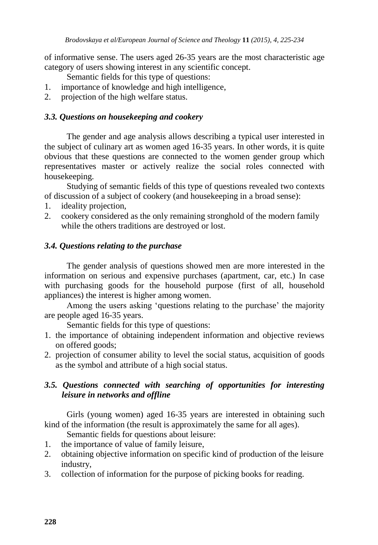of informative sense. The users aged 26-35 years are the most characteristic age category of users showing interest in any scientific concept.

Semantic fields for this type of questions:

- 1. importance of knowledge and high intelligence,
- 2. projection of the high welfare status.

## *3.3. Questions on housekeeping and cookery*

The gender and age analysis allows describing a typical user interested in the subject of culinary art as women aged 16-35 years. In other words, it is quite obvious that these questions are connected to the women gender group which representatives master or actively realize the social roles connected with housekeeping.

Studying of semantic fields of this type of questions revealed two contexts of discussion of a subject of cookery (and housekeeping in a broad sense):

- 1. ideality projection,
- 2. cookery considered as the only remaining stronghold of the modern family while the others traditions are destroyed or lost.

## *3.4. Questions relating to the purchase*

The gender analysis of questions showed men are more interested in the information on serious and expensive purchases (apartment, car, etc.) In case with purchasing goods for the household purpose (first of all, household appliances) the interest is higher among women.

Among the users asking 'questions relating to the purchase' the majority are people aged 16-35 years.

Semantic fields for this type of questions:

- 1. the importance of obtaining independent information and objective reviews on offered goods;
- 2. projection of consumer ability to level the social status, acquisition of goods as the symbol and attribute of a high social status.

## *3.5. Questions connected with searching of opportunities for interesting leisure in networks and offline*

Girls (young women) aged 16-35 years are interested in obtaining such kind of the information (the result is approximately the same for all ages).

Semantic fields for questions about leisure:

- 1. the importance of value of family leisure,
- 2. obtaining objective information on specific kind of production of the leisure industry,
- 3. collection of information for the purpose of picking books for reading.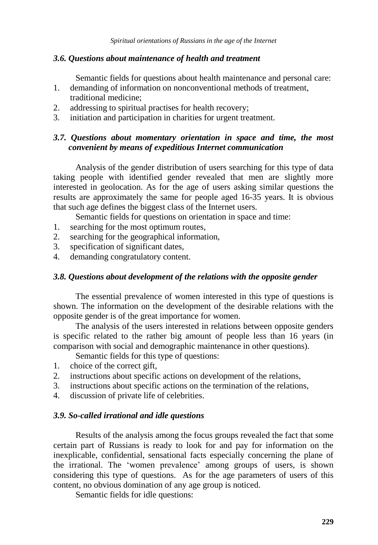#### *3.6. Questions about maintenance of health and treatment*

Semantic fields for questions about health maintenance and personal care:

- 1. demanding of information on nonconventional methods of treatment, traditional medicine;
- 2. addressing to spiritual practises for health recovery;
- 3. initiation and participation in charities for urgent treatment.

#### *3.7. Questions about momentary orientation in space and time, the most convenient by means of expeditious Internet communication*

Analysis of the gender distribution of users searching for this type of data taking people with identified gender revealed that men are slightly more interested in geolocation. As for the age of users asking similar questions the results are approximately the same for people aged 16-35 years. It is obvious that such age defines the biggest class of the Internet users.

Semantic fields for questions on orientation in space and time:

- 1. searching for the most optimum routes,
- 2. searching for the geographical information,
- 3. specification of significant dates,
- 4. demanding congratulatory content.

#### *3.8. Questions about development of the relations with the opposite gender*

The essential prevalence of women interested in this type of questions is shown. The information on the development of the desirable relations with the opposite gender is of the great importance for women.

The analysis of the users interested in relations between opposite genders is specific related to the rather big amount of people less than 16 years (in comparison with social and demographic maintenance in other questions).

Semantic fields for this type of questions:

- 1. choice of the correct gift,
- 2. instructions about specific actions on development of the relations,
- 3. instructions about specific actions on the termination of the relations,
- 4. discussion of private life of celebrities.

#### *3.9. So-called irrational and idle questions*

Results of the analysis among the focus groups revealed the fact that some certain part of Russians is ready to look for and pay for information on the inexplicable, confidential, sensational facts especially concerning the plane of the irrational. The 'women prevalence' among groups of users, is shown considering this type of questions. As for the age parameters of users of this content, no obvious domination of any age group is noticed.

Semantic fields for idle questions: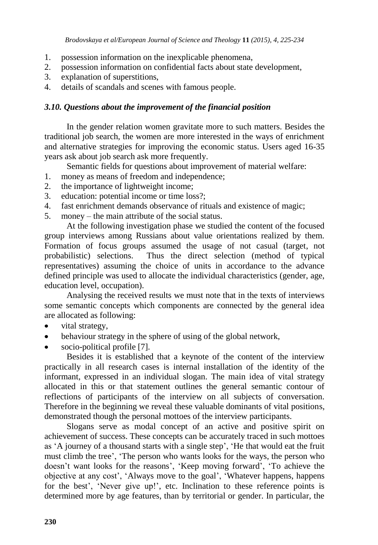- 1. possession information on the inexplicable phenomena,
- 2. possession information on confidential facts about state development,
- 3. explanation of superstitions,
- 4. details of scandals and scenes with famous people.

#### *3.10. Questions about the improvement of the financial position*

In the gender relation women gravitate more to such matters. Besides the traditional job search, the women are more interested in the ways of enrichment and alternative strategies for improving the economic status. Users aged 16-35 years ask about job search ask more frequently.

Semantic fields for questions about improvement of material welfare:

- 1. money as means of freedom and independence;
- 2. the importance of lightweight income;
- 3. education: potential income or time loss?;
- 4. fast enrichment demands observance of rituals and existence of magic;
- 5. money the main attribute of the social status.

At the following investigation phase we studied the content of the focused group interviews among Russians about value orientations realized by them. Formation of focus groups assumed the usage of not casual (target, not probabilistic) selections. Thus the direct selection (method of typical representatives) assuming the choice of units in accordance to the advance defined principle was used to allocate the individual characteristics (gender, age, education level, occupation).

Analysing the received results we must note that in the texts of interviews some semantic concepts which components are connected by the general idea are allocated as following:

- vital strategy,
- behaviour strategy in the sphere of using of the global network,
- socio-political profile [7].

Besides it is established that a keynote of the content of the interview practically in all research cases is internal installation of the identity of the informant, expressed in an individual slogan. The main idea of vital strategy allocated in this or that statement outlines the general semantic contour of reflections of participants of the interview on all subjects of conversation. Therefore in the beginning we reveal these valuable dominants of vital positions, demonstrated though the personal mottoes of the interview participants.

Slogans serve as modal concept of an active and positive spirit on achievement of success. These concepts can be accurately traced in such mottoes as 'A journey of a thousand starts with a single step', 'He that would eat the fruit must climb the tree', 'The person who wants looks for the ways, the person who doesn't want looks for the reasons', 'Keep moving forward', 'To achieve the objective at any cost', 'Always move to the goal', 'Whatever happens, happens for the best', 'Never give up!', etc. Inclination to these reference points is determined more by age features, than by territorial or gender. In particular, the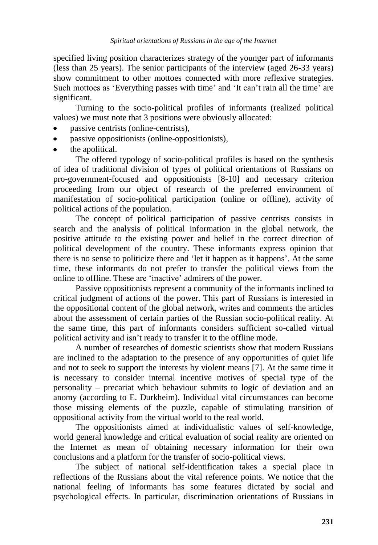specified living position characterizes strategy of the younger part of informants (less than 25 years). The senior participants of the interview (aged 26-33 years) show commitment to other mottoes connected with more reflexive strategies. Such mottoes as 'Everything passes with time' and 'It can't rain all the time' are significant.

Turning to the socio-political profiles of informants (realized political values) we must note that 3 positions were obviously allocated:

- passive centrists (online-centrists),
- passive oppositionists (online-oppositionists),
- the apolitical.

The offered typology of socio-political profiles is based on the synthesis of idea of traditional division of types of political orientations of Russians on pro-government-focused and oppositionists [8-10] and necessary criterion proceeding from our object of research of the preferred environment of manifestation of socio-political participation (online or offline), activity of political actions of the population.

The concept of political participation of passive centrists consists in search and the analysis of political information in the global network, the positive attitude to the existing power and belief in the correct direction of political development of the country. These informants express opinion that there is no sense to politicize there and 'let it happen as it happens'. At the same time, these informants do not prefer to transfer the political views from the online to offline. These are 'inactive' admirers of the power.

Passive oppositionists represent a community of the informants inclined to critical judgment of actions of the power. This part of Russians is interested in the oppositional content of the global network, writes and comments the articles about the assessment of certain parties of the Russian socio-political reality. At the same time, this part of informants considers sufficient so-called virtual political activity and isn't ready to transfer it to the offline mode.

A number of researches of domestic scientists show that modern Russians are inclined to the adaptation to the presence of any opportunities of quiet life and not to seek to support the interests by violent means [7]. At the same time it is necessary to consider internal incentive motives of special type of the personality – precariat which behaviour submits to logic of deviation and an anomy (according to E. Durkheim). Individual vital circumstances can become those missing elements of the puzzle, capable of stimulating transition of oppositional activity from the virtual world to the real world.

The oppositionists aimed at individualistic values of self-knowledge, world general knowledge and critical evaluation of social reality are oriented on the Internet as mean of obtaining necessary information for their own conclusions and a platform for the transfer of socio-political views.

The subject of national self-identification takes a special place in reflections of the Russians about the vital reference points. We notice that the national feeling of informants has some features dictated by social and psychological effects. In particular, discrimination orientations of Russians in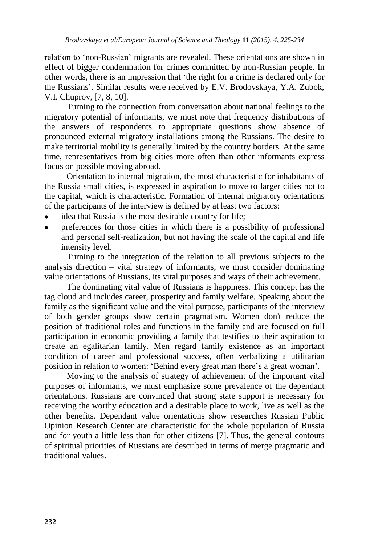relation to 'non-Russian' migrants are revealed. These orientations are shown in effect of bigger condemnation for crimes committed by non-Russian people. In other words, there is an impression that 'the right for a crime is declared only for the Russians'. Similar results were received by E.V. Brodovskaya, Y.A. Zubok, V.I. Chuprov, [7, 8, 10].

Turning to the connection from conversation about national feelings to the migratory potential of informants, we must note that frequency distributions of the answers of respondents to appropriate questions show absence of pronounced external migratory installations among the Russians. The desire to make territorial mobility is generally limited by the country borders. At the same time, representatives from big cities more often than other informants express focus on possible moving abroad.

Orientation to internal migration, the most characteristic for inhabitants of the Russia small cities, is expressed in aspiration to move to larger cities not to the capital, which is characteristic. Formation of internal migratory orientations of the participants of the interview is defined by at least two factors:

- idea that Russia is the most desirable country for life;
- preferences for those cities in which there is a possibility of professional and personal self-realization, but not having the scale of the capital and life intensity level.

Turning to the integration of the relation to all previous subjects to the analysis direction – vital strategy of informants, we must consider dominating value orientations of Russians, its vital purposes and ways of their achievement.

The dominating vital value of Russians is happiness. This concept has the tag cloud and includes career, prosperity and family welfare. Speaking about the family as the significant value and the vital purpose, participants of the interview of both gender groups show certain pragmatism. Women don't reduce the position of traditional roles and functions in the family and are focused on full participation in economic providing a family that testifies to their aspiration to create an egalitarian family. Men regard family existence as an important condition of career and professional success, often verbalizing a utilitarian position in relation to women: 'Behind every great man there's a great woman'.

Moving to the analysis of strategy of achievement of the important vital purposes of informants, we must emphasize some prevalence of the dependant orientations. Russians are convinced that strong state support is necessary for receiving the worthy education and a desirable place to work, live as well as the other benefits. Dependant value orientations show researches Russian Public Opinion Research Center are characteristic for the whole population of Russia and for youth a little less than for other citizens [7]. Thus, the general contours of spiritual priorities of Russians are described in terms of merge pragmatic and traditional values.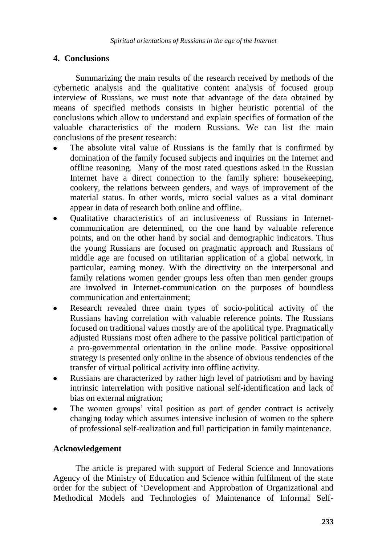## **4. Conclusions**

Summarizing the main results of the research received by methods of the cybernetic analysis and the qualitative content analysis of focused group interview of Russians, we must note that advantage of the data obtained by means of specified methods consists in higher heuristic potential of the conclusions which allow to understand and explain specifics of formation of the valuable characteristics of the modern Russians. We can list the main conclusions of the present research:

- The absolute vital value of Russians is the family that is confirmed by domination of the family focused subjects and inquiries on the Internet and offline reasoning. Many of the most rated questions asked in the Russian Internet have a direct connection to the family sphere: housekeeping, cookery, the relations between genders, and ways of improvement of the material status. In other words, micro social values as a vital dominant appear in data of research both online and offline.
- Qualitative characteristics of an inclusiveness of Russians in Internetcommunication are determined, on the one hand by valuable reference points, and on the other hand by social and demographic indicators. Thus the young Russians are focused on pragmatic approach and Russians of middle age are focused on utilitarian application of a global network, in particular, earning money. With the directivity on the interpersonal and family relations women gender groups less often than men gender groups are involved in Internet-communication on the purposes of boundless communication and entertainment;
- Research revealed three main types of socio-political activity of the  $\bullet$ Russians having correlation with valuable reference points. The Russians focused on traditional values mostly are of the apolitical type. Pragmatically adjusted Russians most often adhere to the passive political participation of a pro-governmental orientation in the online mode. Passive oppositional strategy is presented only online in the absence of obvious tendencies of the transfer of virtual political activity into offline activity.
- Russians are characterized by rather high level of patriotism and by having  $\bullet$ intrinsic interrelation with positive national self-identification and lack of bias on external migration;
- The women groups' vital position as part of gender contract is actively changing today which assumes intensive inclusion of women to the sphere of professional self-realization and full participation in family maintenance.

## **Acknowledgement**

The article is prepared with support of Federal Science and Innovations Agency of the Ministry of Education and Science within fulfilment of the state order for the subject of 'Development and Approbation of Organizational and Methodical Models and Technologies of Maintenance of Informal Self